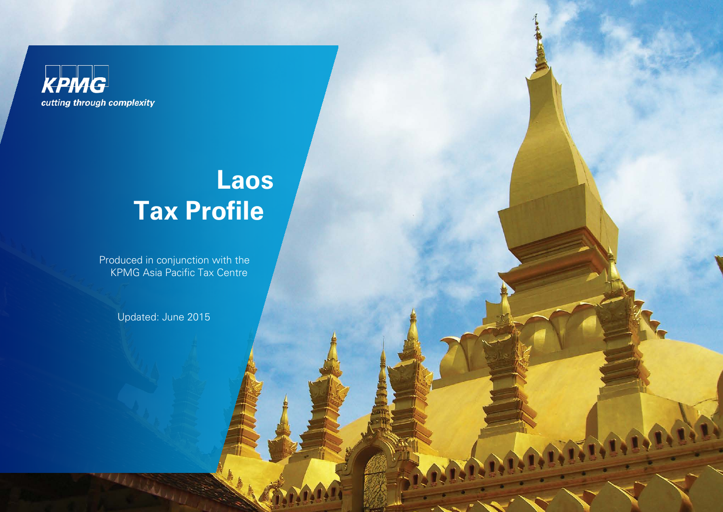**KPMG** cutting through complexity

# **Laos Tax Profile**

Produced in conjunction with the KPMG Asia Pacific Tax Centre

Updated: June 2015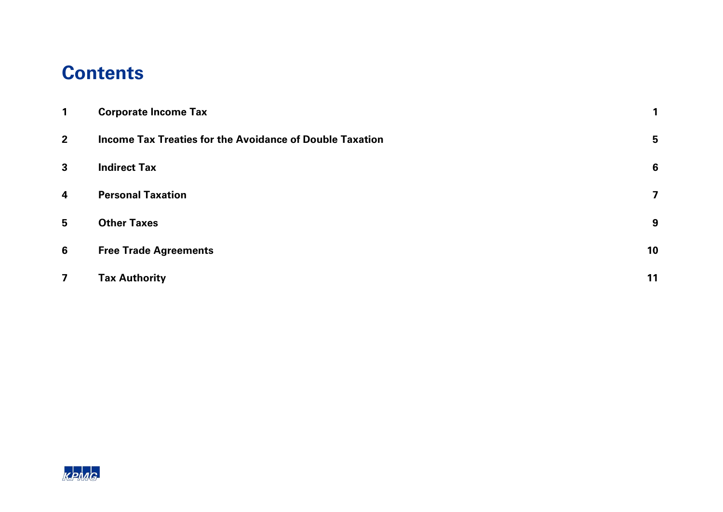#### **Contents**

| $\mathbf{1}$            | <b>Corporate Income Tax</b>                                     |    |
|-------------------------|-----------------------------------------------------------------|----|
| 2 <sup>1</sup>          | <b>Income Tax Treaties for the Avoidance of Double Taxation</b> | 5  |
| $\mathbf{3}$            | <b>Indirect Tax</b>                                             | 6  |
| $\overline{\mathbf{4}}$ | <b>Personal Taxation</b>                                        | 7  |
| 5                       | <b>Other Taxes</b>                                              | 9  |
| 6                       | <b>Free Trade Agreements</b>                                    | 10 |
| $\overline{7}$          | <b>Tax Authority</b>                                            | 11 |

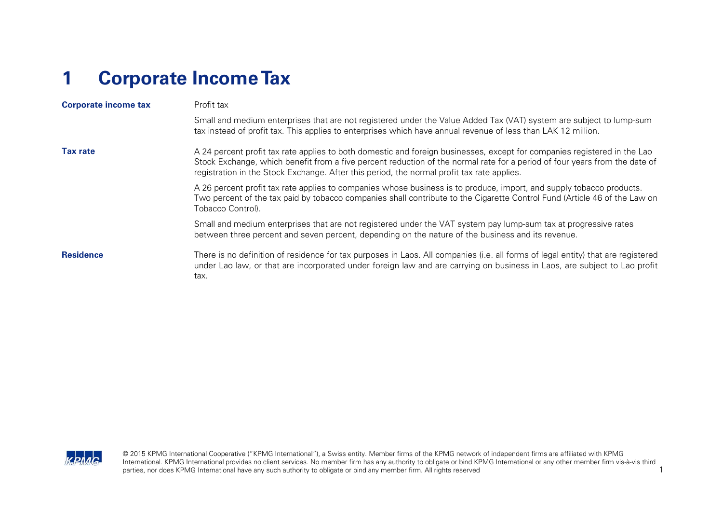### <span id="page-2-0"></span>**1 Corporate Income Tax**

| <b>Corporate income tax</b> | Profit tax                                                                                                                                                                                                                                                                                                                                           |  |  |  |  |
|-----------------------------|------------------------------------------------------------------------------------------------------------------------------------------------------------------------------------------------------------------------------------------------------------------------------------------------------------------------------------------------------|--|--|--|--|
|                             | Small and medium enterprises that are not registered under the Value Added Tax (VAT) system are subject to lump-sum<br>tax instead of profit tax. This applies to enterprises which have annual revenue of less than LAK 12 million.                                                                                                                 |  |  |  |  |
| <b>Tax rate</b>             | A 24 percent profit tax rate applies to both domestic and foreign businesses, except for companies registered in the Lao<br>Stock Exchange, which benefit from a five percent reduction of the normal rate for a period of four years from the date of<br>registration in the Stock Exchange. After this period, the normal profit tax rate applies. |  |  |  |  |
|                             | A 26 percent profit tax rate applies to companies whose business is to produce, import, and supply tobacco products.<br>Two percent of the tax paid by tobacco companies shall contribute to the Cigarette Control Fund (Article 46 of the Law on<br>Tobacco Control).                                                                               |  |  |  |  |
|                             | Small and medium enterprises that are not registered under the VAT system pay lump-sum tax at progressive rates<br>between three percent and seven percent, depending on the nature of the business and its revenue.                                                                                                                                 |  |  |  |  |
| <b>Residence</b>            | There is no definition of residence for tax purposes in Laos. All companies (i.e. all forms of legal entity) that are registered<br>under Lao law, or that are incorporated under foreign law and are carrying on business in Laos, are subject to Lao profit<br>tax.                                                                                |  |  |  |  |

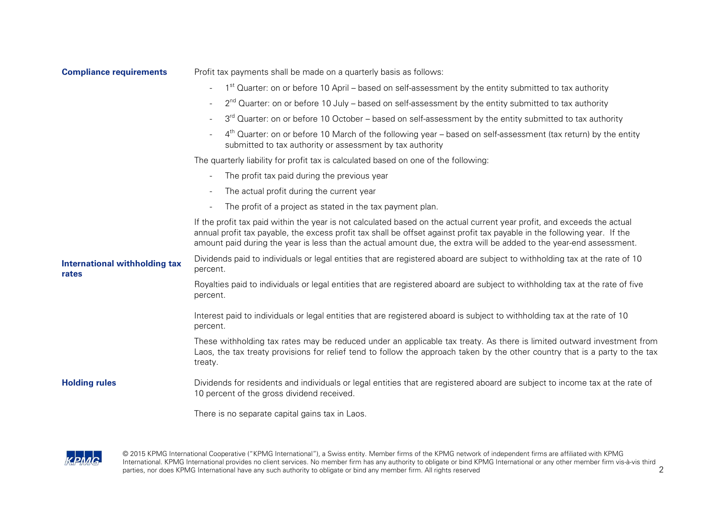| <b>Compliance requirements</b>                | Profit tax payments shall be made on a quarterly basis as follows:                                                                                                                                                                                                                                                                                                           |  |  |  |  |
|-----------------------------------------------|------------------------------------------------------------------------------------------------------------------------------------------------------------------------------------------------------------------------------------------------------------------------------------------------------------------------------------------------------------------------------|--|--|--|--|
|                                               | 1 <sup>st</sup> Quarter: on or before 10 April – based on self-assessment by the entity submitted to tax authority                                                                                                                                                                                                                                                           |  |  |  |  |
|                                               | $2^{nd}$ Quarter: on or before 10 July – based on self-assessment by the entity submitted to tax authority                                                                                                                                                                                                                                                                   |  |  |  |  |
|                                               | 3 <sup>rd</sup> Quarter: on or before 10 October – based on self-assessment by the entity submitted to tax authority<br>$\overline{\phantom{a}}$                                                                                                                                                                                                                             |  |  |  |  |
|                                               | 4 <sup>th</sup> Quarter: on or before 10 March of the following year – based on self-assessment (tax return) by the entity<br>submitted to tax authority or assessment by tax authority                                                                                                                                                                                      |  |  |  |  |
|                                               | The quarterly liability for profit tax is calculated based on one of the following:                                                                                                                                                                                                                                                                                          |  |  |  |  |
|                                               | The profit tax paid during the previous year                                                                                                                                                                                                                                                                                                                                 |  |  |  |  |
|                                               | The actual profit during the current year                                                                                                                                                                                                                                                                                                                                    |  |  |  |  |
|                                               | The profit of a project as stated in the tax payment plan.                                                                                                                                                                                                                                                                                                                   |  |  |  |  |
|                                               | If the profit tax paid within the year is not calculated based on the actual current year profit, and exceeds the actual<br>annual profit tax payable, the excess profit tax shall be offset against profit tax payable in the following year. If the<br>amount paid during the year is less than the actual amount due, the extra will be added to the year-end assessment. |  |  |  |  |
| <b>International withholding tax</b><br>rates | Dividends paid to individuals or legal entities that are registered aboard are subject to withholding tax at the rate of 10<br>percent.                                                                                                                                                                                                                                      |  |  |  |  |
|                                               | Royalties paid to individuals or legal entities that are registered aboard are subject to withholding tax at the rate of five<br>percent.                                                                                                                                                                                                                                    |  |  |  |  |
|                                               | Interest paid to individuals or legal entities that are registered aboard is subject to withholding tax at the rate of 10<br>percent.                                                                                                                                                                                                                                        |  |  |  |  |
|                                               | These withholding tax rates may be reduced under an applicable tax treaty. As there is limited outward investment from<br>Laos, the tax treaty provisions for relief tend to follow the approach taken by the other country that is a party to the tax<br>treaty.                                                                                                            |  |  |  |  |
| <b>Holding rules</b>                          | Dividends for residents and individuals or legal entities that are registered aboard are subject to income tax at the rate of<br>10 percent of the gross dividend received.                                                                                                                                                                                                  |  |  |  |  |
|                                               | There is no separate capital gains tax in Laos.                                                                                                                                                                                                                                                                                                                              |  |  |  |  |



© 2015 KPMG International Cooperative ("KPMG International"), a Swiss entity. Member firms of the KPMG network of independent firms are affiliated with KPMG International. KPMG International provides no client services. No member firm has any authority to obligate or bind KPMG International or any other member firm vis-à-vis third<br>parties, nor does KPMG International have any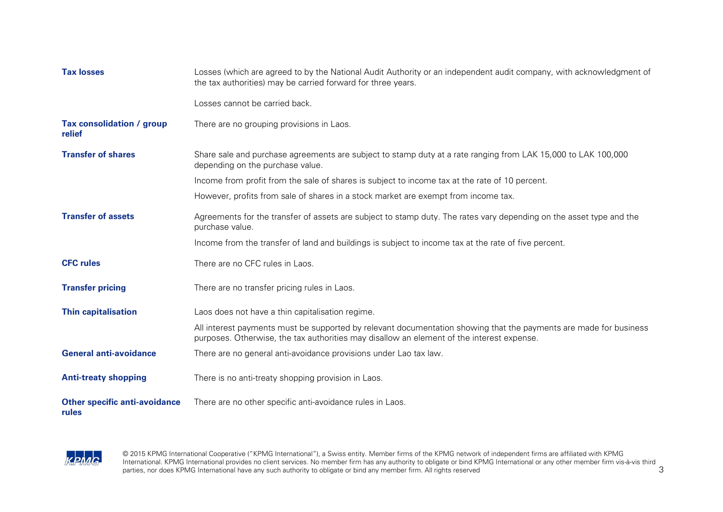| <b>Tax losses</b>                             | Losses (which are agreed to by the National Audit Authority or an independent audit company, with acknowledgment of<br>the tax authorities) may be carried forward for three years.                            |
|-----------------------------------------------|----------------------------------------------------------------------------------------------------------------------------------------------------------------------------------------------------------------|
|                                               | Losses cannot be carried back.                                                                                                                                                                                 |
| Tax consolidation / group<br>relief           | There are no grouping provisions in Laos.                                                                                                                                                                      |
| <b>Transfer of shares</b>                     | Share sale and purchase agreements are subject to stamp duty at a rate ranging from LAK 15,000 to LAK 100,000<br>depending on the purchase value.                                                              |
|                                               | Income from profit from the sale of shares is subject to income tax at the rate of 10 percent.                                                                                                                 |
|                                               | However, profits from sale of shares in a stock market are exempt from income tax.                                                                                                                             |
| <b>Transfer of assets</b>                     | Agreements for the transfer of assets are subject to stamp duty. The rates vary depending on the asset type and the<br>purchase value.                                                                         |
|                                               | Income from the transfer of land and buildings is subject to income tax at the rate of five percent.                                                                                                           |
| <b>CFC</b> rules                              | There are no CFC rules in Laos.                                                                                                                                                                                |
| <b>Transfer pricing</b>                       | There are no transfer pricing rules in Laos.                                                                                                                                                                   |
| <b>Thin capitalisation</b>                    | Laos does not have a thin capitalisation regime.                                                                                                                                                               |
|                                               | All interest payments must be supported by relevant documentation showing that the payments are made for business<br>purposes. Otherwise, the tax authorities may disallow an element of the interest expense. |
| <b>General anti-avoidance</b>                 | There are no general anti-avoidance provisions under Lao tax law.                                                                                                                                              |
| <b>Anti-treaty shopping</b>                   | There is no anti-treaty shopping provision in Laos.                                                                                                                                                            |
| <b>Other specific anti-avoidance</b><br>rules | There are no other specific anti-avoidance rules in Laos.                                                                                                                                                      |



© 2015 KPMG International Cooperative ("KPMG International"), a Swiss entity. Member firms of the KPMG network of independent firms are affiliated with KPMG International. KPMG International provides no client services. No member firm has any authority to obligate or bind KPMG International or any other member firm vis-à-vis third<br>parties, nor does KPMG International have any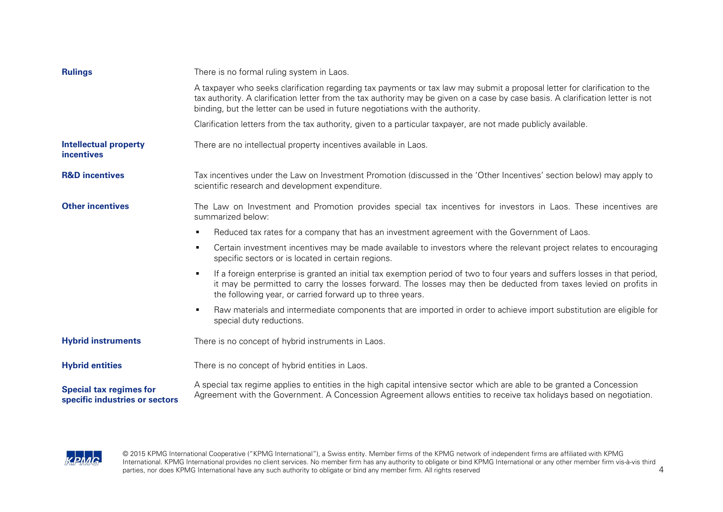| <b>Rulings</b>                                                   | There is no formal ruling system in Laos.                                                                                                                                                                                                                                                                                                        |  |  |  |
|------------------------------------------------------------------|--------------------------------------------------------------------------------------------------------------------------------------------------------------------------------------------------------------------------------------------------------------------------------------------------------------------------------------------------|--|--|--|
|                                                                  | A taxpayer who seeks clarification regarding tax payments or tax law may submit a proposal letter for clarification to the<br>tax authority. A clarification letter from the tax authority may be given on a case by case basis. A clarification letter is not<br>binding, but the letter can be used in future negotiations with the authority. |  |  |  |
|                                                                  | Clarification letters from the tax authority, given to a particular taxpayer, are not made publicly available.                                                                                                                                                                                                                                   |  |  |  |
| <b>Intellectual property</b><br><b>incentives</b>                | There are no intellectual property incentives available in Laos.                                                                                                                                                                                                                                                                                 |  |  |  |
| <b>R&amp;D incentives</b>                                        | Tax incentives under the Law on Investment Promotion (discussed in the 'Other Incentives' section below) may apply to<br>scientific research and development expenditure.                                                                                                                                                                        |  |  |  |
| <b>Other incentives</b>                                          | The Law on Investment and Promotion provides special tax incentives for investors in Laos. These incentives are<br>summarized below:                                                                                                                                                                                                             |  |  |  |
|                                                                  | Reduced tax rates for a company that has an investment agreement with the Government of Laos.<br>٠                                                                                                                                                                                                                                               |  |  |  |
|                                                                  | Certain investment incentives may be made available to investors where the relevant project relates to encouraging<br>٠<br>specific sectors or is located in certain regions.                                                                                                                                                                    |  |  |  |
|                                                                  | If a foreign enterprise is granted an initial tax exemption period of two to four years and suffers losses in that period,<br>٠<br>it may be permitted to carry the losses forward. The losses may then be deducted from taxes levied on profits in<br>the following year, or carried forward up to three years.                                 |  |  |  |
|                                                                  | Raw materials and intermediate components that are imported in order to achieve import substitution are eligible for<br>٠<br>special duty reductions.                                                                                                                                                                                            |  |  |  |
| <b>Hybrid instruments</b>                                        | There is no concept of hybrid instruments in Laos.                                                                                                                                                                                                                                                                                               |  |  |  |
| <b>Hybrid entities</b>                                           | There is no concept of hybrid entities in Laos.                                                                                                                                                                                                                                                                                                  |  |  |  |
| <b>Special tax regimes for</b><br>specific industries or sectors | A special tax regime applies to entities in the high capital intensive sector which are able to be granted a Concession<br>Agreement with the Government. A Concession Agreement allows entities to receive tax holidays based on negotiation.                                                                                                   |  |  |  |

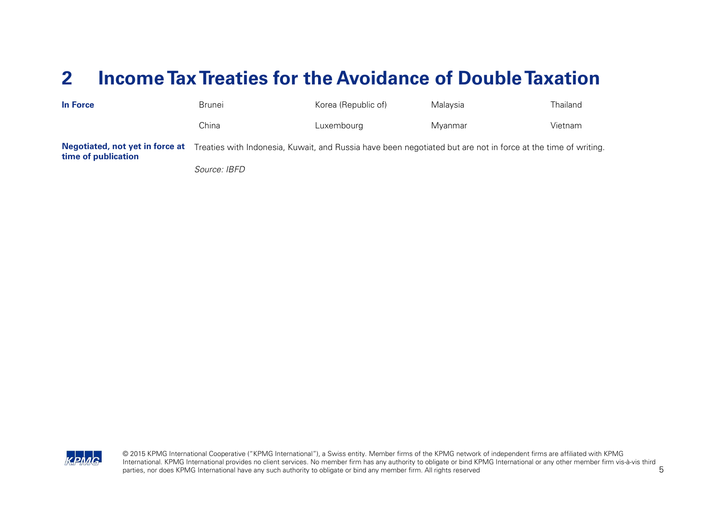#### <span id="page-6-0"></span>**2 Income Tax Treaties for the Avoidance of Double Taxation**

| In Force                                               | Brunei       | Korea (Republic of) | Malavsia                                                                                                      | Thailand |
|--------------------------------------------------------|--------------|---------------------|---------------------------------------------------------------------------------------------------------------|----------|
|                                                        | China        | Luxembourg          | Mvanmar                                                                                                       | Vietnam  |
| Negotiated, not yet in force at<br>time of publication |              |                     | Treaties with Indonesia, Kuwait, and Russia have been negotiated but are not in force at the time of writing. |          |
|                                                        | Source: IBFD |                     |                                                                                                               |          |

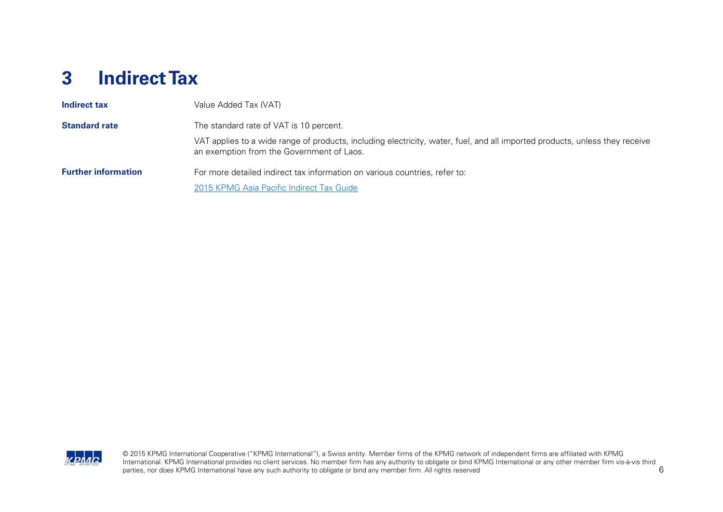#### <span id="page-7-0"></span>**3 Indirect Tax**

| Indirect tax               | Value Added Tax (VAT)                                                                                                                                                    |
|----------------------------|--------------------------------------------------------------------------------------------------------------------------------------------------------------------------|
| <b>Standard rate</b>       | The standard rate of VAT is 10 percent.                                                                                                                                  |
|                            | VAT applies to a wide range of products, including electricity, water, fuel, and all imported products, unless they receive<br>an exemption from the Government of Laos. |
| <b>Further information</b> | For more detailed indirect tax information on various countries, refer to:                                                                                               |
|                            | 2015 KPMG Asia Pacific Indirect Tax Guide                                                                                                                                |

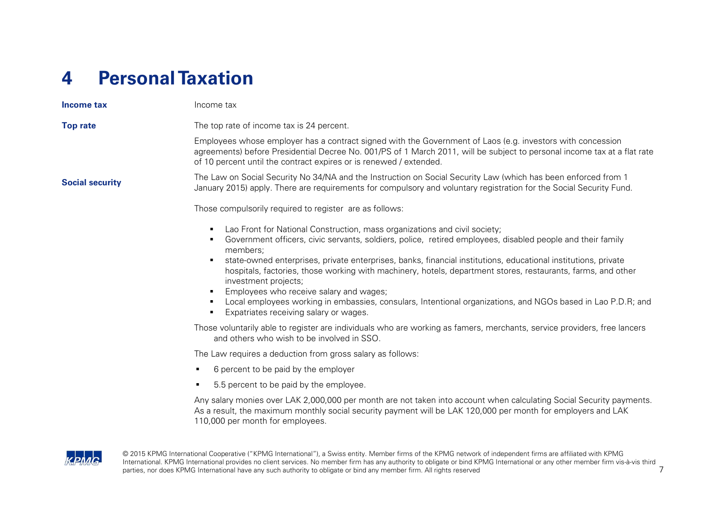### <span id="page-8-0"></span>**4 Personal Taxation**

| Income tax             | Income tax                                                                                                                                                                                                                                                                                                                                                                                                                                                                                                                                                                                                                                                                         |
|------------------------|------------------------------------------------------------------------------------------------------------------------------------------------------------------------------------------------------------------------------------------------------------------------------------------------------------------------------------------------------------------------------------------------------------------------------------------------------------------------------------------------------------------------------------------------------------------------------------------------------------------------------------------------------------------------------------|
| <b>Top rate</b>        | The top rate of income tax is 24 percent.                                                                                                                                                                                                                                                                                                                                                                                                                                                                                                                                                                                                                                          |
|                        | Employees whose employer has a contract signed with the Government of Laos (e.g. investors with concession<br>agreements) before Presidential Decree No. 001/PS of 1 March 2011, will be subject to personal income tax at a flat rate<br>of 10 percent until the contract expires or is renewed / extended.                                                                                                                                                                                                                                                                                                                                                                       |
| <b>Social security</b> | The Law on Social Security No 34/NA and the Instruction on Social Security Law (which has been enforced from 1<br>January 2015) apply. There are requirements for compulsory and voluntary registration for the Social Security Fund.                                                                                                                                                                                                                                                                                                                                                                                                                                              |
|                        | Those compulsorily required to register are as follows:                                                                                                                                                                                                                                                                                                                                                                                                                                                                                                                                                                                                                            |
|                        | Lao Front for National Construction, mass organizations and civil society;<br>٠<br>Government officers, civic servants, soldiers, police, retired employees, disabled people and their family<br>٠<br>members;<br>state-owned enterprises, private enterprises, banks, financial institutions, educational institutions, private<br>hospitals, factories, those working with machinery, hotels, department stores, restaurants, farms, and other<br>investment projects;<br>Employees who receive salary and wages;<br>Local employees working in embassies, consulars, Intentional organizations, and NGOs based in Lao P.D.R; and<br>٠<br>Expatriates receiving salary or wages. |
|                        | Those voluntarily able to register are individuals who are working as famers, merchants, service providers, free lancers<br>and others who wish to be involved in SSO.                                                                                                                                                                                                                                                                                                                                                                                                                                                                                                             |
|                        | The Law requires a deduction from gross salary as follows:                                                                                                                                                                                                                                                                                                                                                                                                                                                                                                                                                                                                                         |
|                        | 6 percent to be paid by the employer<br>٠                                                                                                                                                                                                                                                                                                                                                                                                                                                                                                                                                                                                                                          |
|                        | 5.5 percent to be paid by the employee.<br>٠                                                                                                                                                                                                                                                                                                                                                                                                                                                                                                                                                                                                                                       |
|                        | Any salary monies over LAK 2,000,000 per month are not taken into account when calculating Social Security payments.<br>As a result, the maximum monthly social security payment will be LAK 120,000 per month for employers and LAK<br>110,000 per month for employees.                                                                                                                                                                                                                                                                                                                                                                                                           |

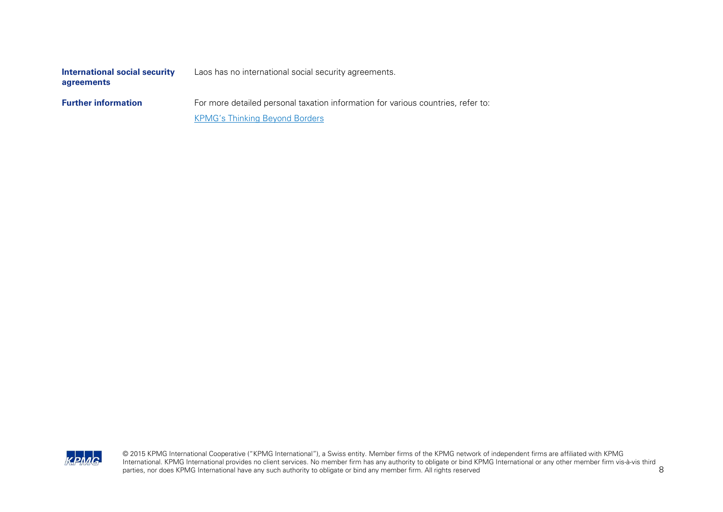| International social security | Laos has no international social security agreements. |
|-------------------------------|-------------------------------------------------------|
| agreements                    |                                                       |

**Further information** For more detailed personal taxation information for various countries, refer to: [KPMG's Thinking Beyond Borders](https://home.kpmg.com/xx/en/home/insights/2012/11/thinking-beyond-borders.html)

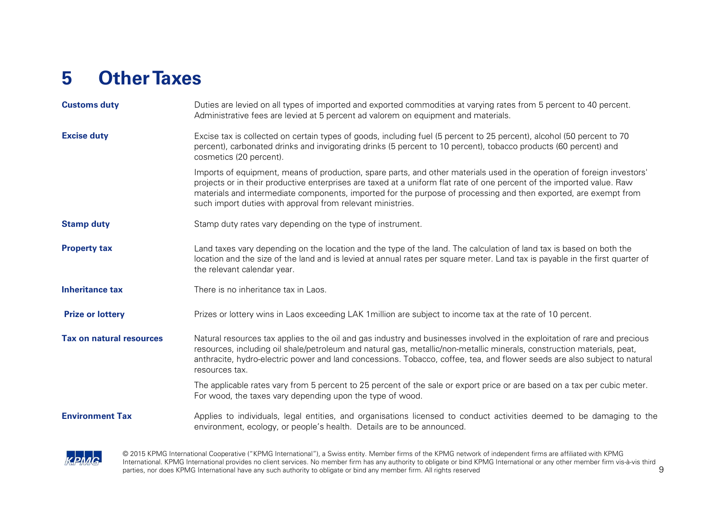### <span id="page-10-0"></span>**5 Other Taxes**

| <b>Customs duty</b>             | Duties are levied on all types of imported and exported commodities at varying rates from 5 percent to 40 percent.<br>Administrative fees are levied at 5 percent ad valorem on equipment and materials.                                                                                                                                                                                                                            |  |  |  |  |
|---------------------------------|-------------------------------------------------------------------------------------------------------------------------------------------------------------------------------------------------------------------------------------------------------------------------------------------------------------------------------------------------------------------------------------------------------------------------------------|--|--|--|--|
| <b>Excise duty</b>              | Excise tax is collected on certain types of goods, including fuel (5 percent to 25 percent), alcohol (50 percent to 70<br>percent), carbonated drinks and invigorating drinks (5 percent to 10 percent), tobacco products (60 percent) and<br>cosmetics (20 percent).                                                                                                                                                               |  |  |  |  |
|                                 | Imports of equipment, means of production, spare parts, and other materials used in the operation of foreign investors'<br>projects or in their productive enterprises are taxed at a uniform flat rate of one percent of the imported value. Raw<br>materials and intermediate components, imported for the purpose of processing and then exported, are exempt from<br>such import duties with approval from relevant ministries. |  |  |  |  |
| <b>Stamp duty</b>               | Stamp duty rates vary depending on the type of instrument.                                                                                                                                                                                                                                                                                                                                                                          |  |  |  |  |
| <b>Property tax</b>             | Land taxes vary depending on the location and the type of the land. The calculation of land tax is based on both the<br>location and the size of the land and is levied at annual rates per square meter. Land tax is payable in the first quarter of<br>the relevant calendar year.                                                                                                                                                |  |  |  |  |
| <b>Inheritance tax</b>          | There is no inheritance tax in Laos.                                                                                                                                                                                                                                                                                                                                                                                                |  |  |  |  |
| <b>Prize or lottery</b>         | Prizes or lottery wins in Laos exceeding LAK 1 million are subject to income tax at the rate of 10 percent.                                                                                                                                                                                                                                                                                                                         |  |  |  |  |
| <b>Tax on natural resources</b> | Natural resources tax applies to the oil and gas industry and businesses involved in the exploitation of rare and precious<br>resources, including oil shale/petroleum and natural gas, metallic/non-metallic minerals, construction materials, peat,<br>anthracite, hydro-electric power and land concessions. Tobacco, coffee, tea, and flower seeds are also subject to natural<br>resources tax.                                |  |  |  |  |
|                                 | The applicable rates vary from 5 percent to 25 percent of the sale or export price or are based on a tax per cubic meter.<br>For wood, the taxes vary depending upon the type of wood.                                                                                                                                                                                                                                              |  |  |  |  |
| <b>Environment Tax</b>          | Applies to individuals, legal entities, and organisations licensed to conduct activities deemed to be damaging to the<br>environment, ecology, or people's health. Details are to be announced.                                                                                                                                                                                                                                     |  |  |  |  |

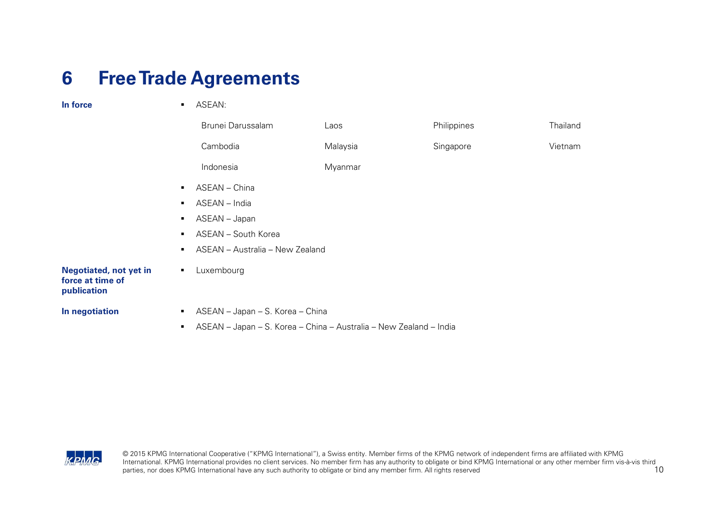#### <span id="page-11-0"></span>**6 Free Trade Agreements**

| In force                                                         | $\blacksquare$ | ASEAN:                                                             |          |             |          |
|------------------------------------------------------------------|----------------|--------------------------------------------------------------------|----------|-------------|----------|
|                                                                  |                | Brunei Darussalam                                                  | Laos     | Philippines | Thailand |
|                                                                  |                | Cambodia                                                           | Malaysia | Singapore   | Vietnam  |
|                                                                  |                | Indonesia                                                          | Myanmar  |             |          |
|                                                                  | $\blacksquare$ | ASEAN - China                                                      |          |             |          |
|                                                                  | $\blacksquare$ | ASEAN - India                                                      |          |             |          |
|                                                                  | $\blacksquare$ | ASEAN - Japan                                                      |          |             |          |
|                                                                  | п.             | ASEAN - South Korea                                                |          |             |          |
|                                                                  | $\blacksquare$ | ASEAN - Australia - New Zealand                                    |          |             |          |
| <b>Negotiated, not yet in</b><br>force at time of<br>publication | $\blacksquare$ | Luxembourg                                                         |          |             |          |
| In negotiation                                                   | $\blacksquare$ | ASEAN - Japan - S. Korea - China                                   |          |             |          |
|                                                                  | ٠              | ASEAN - Japan - S. Korea - China - Australia - New Zealand - India |          |             |          |
|                                                                  |                |                                                                    |          |             |          |

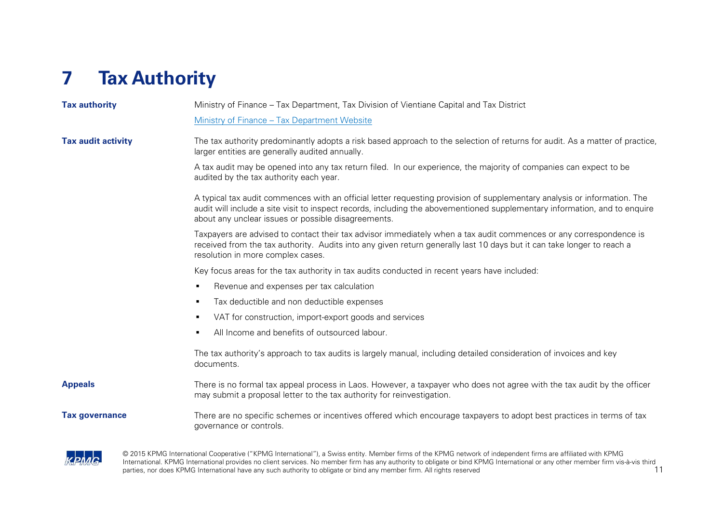## <span id="page-12-0"></span>**7 Tax Authority**

| <b>Tax authority</b>      | Ministry of Finance – Tax Department, Tax Division of Vientiane Capital and Tax District                                                                                                                                                                                                                      |  |  |  |  |
|---------------------------|---------------------------------------------------------------------------------------------------------------------------------------------------------------------------------------------------------------------------------------------------------------------------------------------------------------|--|--|--|--|
|                           | Ministry of Finance - Tax Department Website                                                                                                                                                                                                                                                                  |  |  |  |  |
| <b>Tax audit activity</b> | The tax authority predominantly adopts a risk based approach to the selection of returns for audit. As a matter of practice,<br>larger entities are generally audited annually.                                                                                                                               |  |  |  |  |
|                           | A tax audit may be opened into any tax return filed. In our experience, the majority of companies can expect to be<br>audited by the tax authority each year.                                                                                                                                                 |  |  |  |  |
|                           | A typical tax audit commences with an official letter requesting provision of supplementary analysis or information. The<br>audit will include a site visit to inspect records, including the abovementioned supplementary information, and to enquire<br>about any unclear issues or possible disagreements. |  |  |  |  |
|                           | Taxpayers are advised to contact their tax advisor immediately when a tax audit commences or any correspondence is<br>received from the tax authority. Audits into any given return generally last 10 days but it can take longer to reach a<br>resolution in more complex cases.                             |  |  |  |  |
|                           | Key focus areas for the tax authority in tax audits conducted in recent years have included:                                                                                                                                                                                                                  |  |  |  |  |
|                           | Revenue and expenses per tax calculation<br>$\blacksquare$                                                                                                                                                                                                                                                    |  |  |  |  |
|                           | Tax deductible and non deductible expenses<br>٠                                                                                                                                                                                                                                                               |  |  |  |  |
|                           | VAT for construction, import-export goods and services<br>٠                                                                                                                                                                                                                                                   |  |  |  |  |
|                           | All Income and benefits of outsourced labour.<br>$\blacksquare$                                                                                                                                                                                                                                               |  |  |  |  |
|                           | The tax authority's approach to tax audits is largely manual, including detailed consideration of invoices and key<br>documents.                                                                                                                                                                              |  |  |  |  |
| <b>Appeals</b>            | There is no formal tax appeal process in Laos. However, a taxpayer who does not agree with the tax audit by the officer<br>may submit a proposal letter to the tax authority for reinvestigation.                                                                                                             |  |  |  |  |
| <b>Tax governance</b>     | There are no specific schemes or incentives offered which encourage taxpayers to adopt best practices in terms of tax<br>governance or controls.                                                                                                                                                              |  |  |  |  |